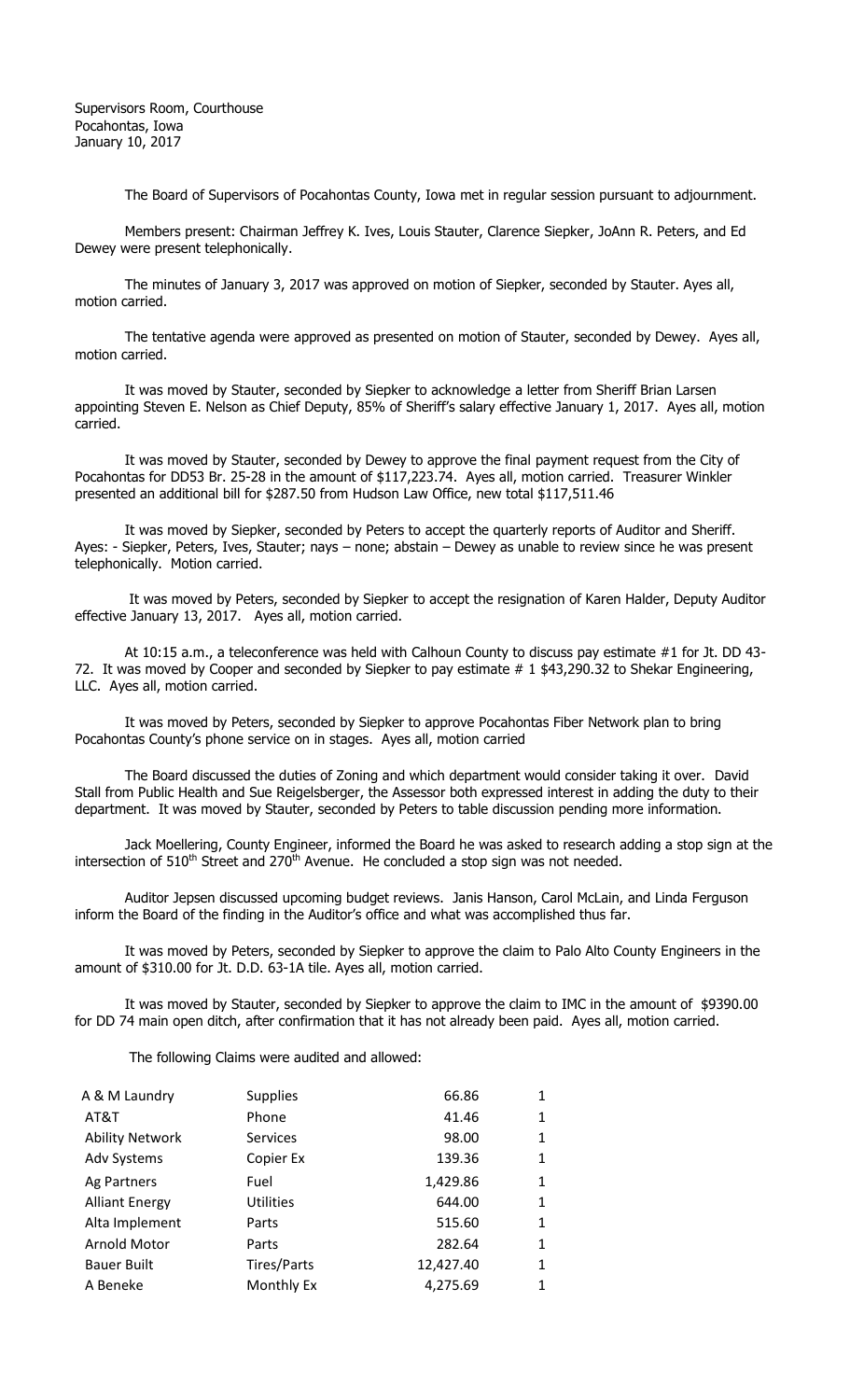Supervisors Room, Courthouse Pocahontas, Iowa January 10, 2017

The Board of Supervisors of Pocahontas County, Iowa met in regular session pursuant to adjournment.

Members present: Chairman Jeffrey K. Ives, Louis Stauter, Clarence Siepker, JoAnn R. Peters, and Ed Dewey were present telephonically.

The minutes of January 3, 2017 was approved on motion of Siepker, seconded by Stauter. Ayes all, motion carried.

The tentative agenda were approved as presented on motion of Stauter, seconded by Dewey. Ayes all, motion carried.

It was moved by Stauter, seconded by Siepker to acknowledge a letter from Sheriff Brian Larsen appointing Steven E. Nelson as Chief Deputy, 85% of Sheriff's salary effective January 1, 2017. Ayes all, motion carried.

It was moved by Stauter, seconded by Dewey to approve the final payment request from the City of Pocahontas for DD53 Br. 25-28 in the amount of \$117,223.74. Ayes all, motion carried. Treasurer Winkler presented an additional bill for \$287.50 from Hudson Law Office, new total \$117,511.46

It was moved by Siepker, seconded by Peters to accept the quarterly reports of Auditor and Sheriff. Ayes: - Siepker, Peters, Ives, Stauter; nays – none; abstain – Dewey as unable to review since he was present telephonically. Motion carried.

It was moved by Peters, seconded by Siepker to accept the resignation of Karen Halder, Deputy Auditor effective January 13, 2017. Ayes all, motion carried.

At 10:15 a.m., a teleconference was held with Calhoun County to discuss pay estimate #1 for Jt. DD 43- 72. It was moved by Cooper and seconded by Siepker to pay estimate # 1 \$43,290.32 to Shekar Engineering, LLC. Ayes all, motion carried.

It was moved by Peters, seconded by Siepker to approve Pocahontas Fiber Network plan to bring Pocahontas County's phone service on in stages. Ayes all, motion carried

The Board discussed the duties of Zoning and which department would consider taking it over. David Stall from Public Health and Sue Reigelsberger, the Assessor both expressed interest in adding the duty to their department. It was moved by Stauter, seconded by Peters to table discussion pending more information.

Jack Moellering, County Engineer, informed the Board he was asked to research adding a stop sign at the intersection of  $510<sup>th</sup>$  Street and 270 $<sup>th</sup>$  Avenue. He concluded a stop sign was not needed.</sup>

Auditor Jepsen discussed upcoming budget reviews. Janis Hanson, Carol McLain, and Linda Ferguson inform the Board of the finding in the Auditor's office and what was accomplished thus far.

It was moved by Peters, seconded by Siepker to approve the claim to Palo Alto County Engineers in the amount of \$310.00 for Jt. D.D. 63-1A tile. Ayes all, motion carried.

It was moved by Stauter, seconded by Siepker to approve the claim to IMC in the amount of\$9390.00 for DD 74 main open ditch, after confirmation that it has not already been paid.Ayes all, motion carried.

The following Claims were audited and allowed:

|                 | 66.86           | 1 |
|-----------------|-----------------|---|
| Phone           | 41.46           | 1 |
| <b>Services</b> | 98.00           |   |
| Copier Ex       | 139.36          | 1 |
| Fuel            | 1,429.86        | 1 |
| Utilities       | 644.00          | 1 |
| Parts           | 515.60          | 1 |
| Parts           | 282.64          | 1 |
| Tires/Parts     | 12,427.40       | 1 |
| Monthly Ex      | 4,275.69        | 1 |
|                 | <b>Supplies</b> |   |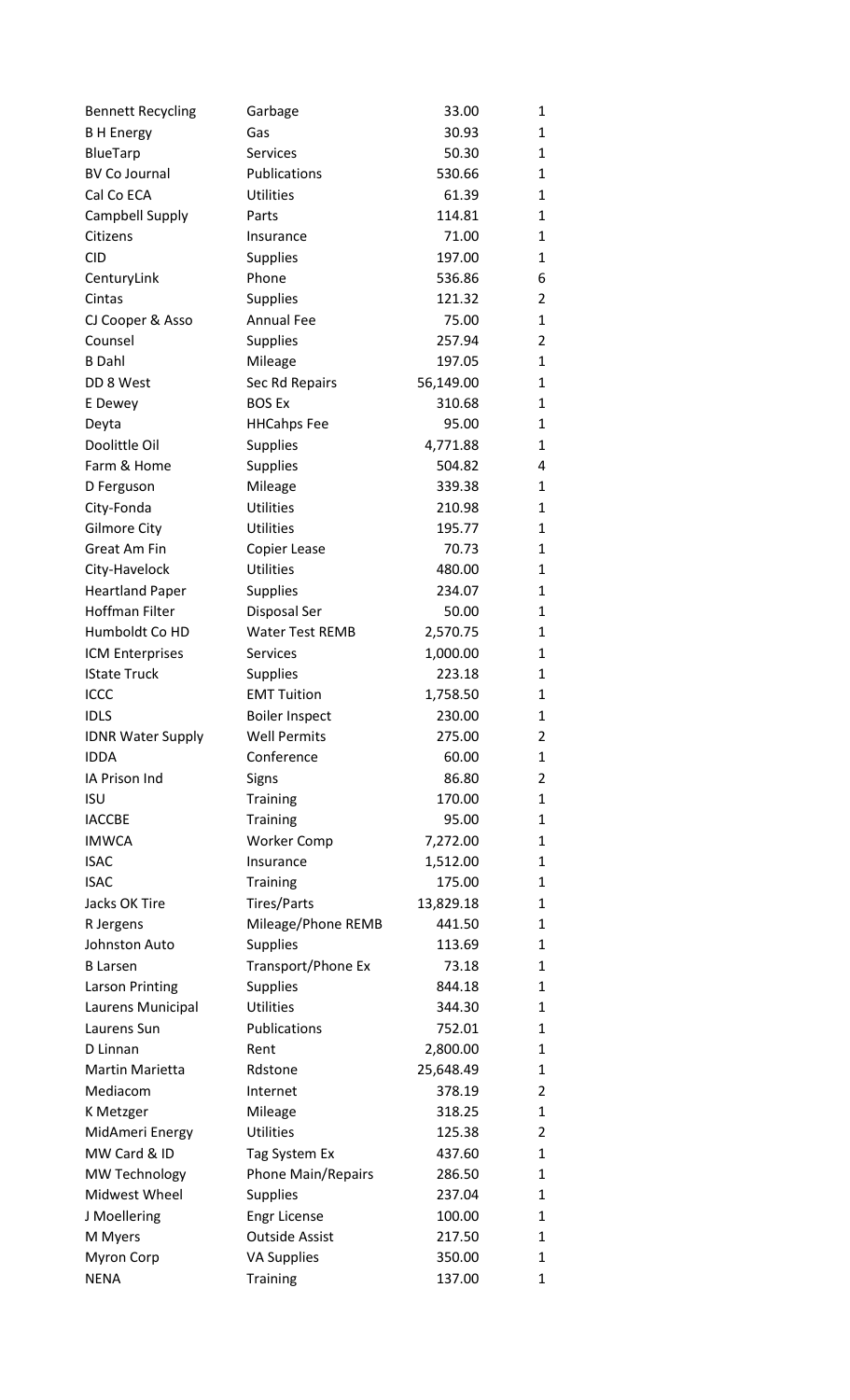| <b>Bennett Recycling</b> | Garbage                   | 33.00     | 1 |
|--------------------------|---------------------------|-----------|---|
| <b>B H Energy</b>        | Gas                       | 30.93     | 1 |
| BlueTarp                 | <b>Services</b>           | 50.30     | 1 |
| <b>BV Co Journal</b>     | Publications              | 530.66    | 1 |
| Cal Co ECA               | <b>Utilities</b>          | 61.39     | 1 |
| <b>Campbell Supply</b>   | Parts                     | 114.81    | 1 |
| Citizens                 | Insurance                 | 71.00     | 1 |
| <b>CID</b>               | <b>Supplies</b>           | 197.00    | 1 |
| CenturyLink              | Phone                     | 536.86    | 6 |
| Cintas                   | <b>Supplies</b>           | 121.32    | 2 |
| CJ Cooper & Asso         | <b>Annual Fee</b>         | 75.00     | 1 |
| Counsel                  | <b>Supplies</b>           | 257.94    | 2 |
| <b>B</b> Dahl            | Mileage                   | 197.05    | 1 |
| DD 8 West                | Sec Rd Repairs            | 56,149.00 | 1 |
| E Dewey                  | <b>BOS Ex</b>             | 310.68    | 1 |
| Deyta                    | <b>HHCahps Fee</b>        | 95.00     | 1 |
| Doolittle Oil            | <b>Supplies</b>           | 4,771.88  | 1 |
| Farm & Home              | <b>Supplies</b>           | 504.82    | 4 |
| D Ferguson               | Mileage                   | 339.38    | 1 |
| City-Fonda               | <b>Utilities</b>          | 210.98    | 1 |
| <b>Gilmore City</b>      | <b>Utilities</b>          | 195.77    | 1 |
| <b>Great Am Fin</b>      | Copier Lease              | 70.73     | 1 |
| City-Havelock            | <b>Utilities</b>          | 480.00    | 1 |
| <b>Heartland Paper</b>   | <b>Supplies</b>           | 234.07    | 1 |
| <b>Hoffman Filter</b>    | <b>Disposal Ser</b>       | 50.00     | 1 |
| Humboldt Co HD           | <b>Water Test REMB</b>    | 2,570.75  | 1 |
| ICM Enterprises          | <b>Services</b>           | 1,000.00  | 1 |
| <b>IState Truck</b>      | <b>Supplies</b>           | 223.18    | 1 |
| <b>ICCC</b>              | <b>EMT Tuition</b>        | 1,758.50  | 1 |
| <b>IDLS</b>              | <b>Boiler Inspect</b>     | 230.00    | 1 |
| <b>IDNR Water Supply</b> | <b>Well Permits</b>       | 275.00    | 2 |
| <b>IDDA</b>              | Conference                | 60.00     | 1 |
| IA Prison Ind            | Signs                     | 86.80     | 2 |
| <b>ISU</b>               | <b>Training</b>           | 170.00    | 1 |
| <b>IACCBE</b>            | <b>Training</b>           | 95.00     | 1 |
| <b>IMWCA</b>             | <b>Worker Comp</b>        | 7,272.00  | 1 |
| <b>ISAC</b>              | Insurance                 | 1,512.00  | 1 |
| <b>ISAC</b>              | <b>Training</b>           | 175.00    | 1 |
| Jacks OK Tire            | Tires/Parts               | 13,829.18 | 1 |
| R Jergens                | Mileage/Phone REMB        | 441.50    | 1 |
| Johnston Auto            | <b>Supplies</b>           | 113.69    | 1 |
| <b>B</b> Larsen          | Transport/Phone Ex        | 73.18     | 1 |
| <b>Larson Printing</b>   | <b>Supplies</b>           | 844.18    | 1 |
| Laurens Municipal        | <b>Utilities</b>          | 344.30    | 1 |
| Laurens Sun              | Publications              | 752.01    | 1 |
| D Linnan                 | Rent                      | 2,800.00  | 1 |
| Martin Marietta          | Rdstone                   | 25,648.49 | 1 |
| Mediacom                 | Internet                  | 378.19    | 2 |
| K Metzger                | Mileage                   | 318.25    | 1 |
| MidAmeri Energy          | <b>Utilities</b>          | 125.38    | 2 |
| MW Card & ID             | Tag System Ex             | 437.60    | 1 |
| <b>MW Technology</b>     | <b>Phone Main/Repairs</b> | 286.50    | 1 |
| Midwest Wheel            | <b>Supplies</b>           | 237.04    | 1 |
| J Moellering             | <b>Engr License</b>       | 100.00    | 1 |
| M Myers                  | <b>Outside Assist</b>     | 217.50    | 1 |
| Myron Corp               | <b>VA Supplies</b>        | 350.00    | 1 |
| <b>NENA</b>              | Training                  | 137.00    | 1 |